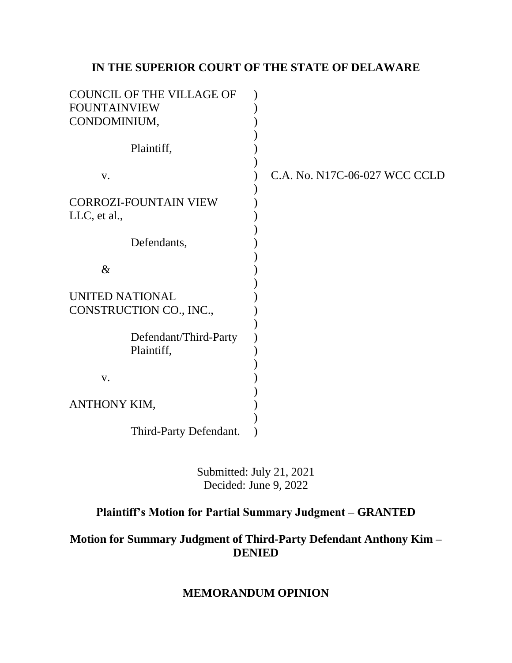# **IN THE SUPERIOR COURT OF THE STATE OF DELAWARE**

| <b>COUNCIL OF THE VILLAGE OF</b><br><b>FOUNTAINVIEW</b><br>CONDOMINIUM, |                               |
|-------------------------------------------------------------------------|-------------------------------|
| Plaintiff,                                                              |                               |
| V.                                                                      | C.A. No. N17C-06-027 WCC CCLD |
| <b>CORROZI-FOUNTAIN VIEW</b><br>LLC, et al.,                            |                               |
| Defendants,                                                             |                               |
| $\&$                                                                    |                               |
| <b>UNITED NATIONAL</b><br>CONSTRUCTION CO., INC.,                       |                               |
| Defendant/Third-Party<br>Plaintiff,                                     |                               |
| V.                                                                      |                               |
| ANTHONY KIM,                                                            |                               |
| Third-Party Defendant.                                                  |                               |

Submitted: July 21, 2021 Decided: June 9, 2022

# **Plaintiff's Motion for Partial Summary Judgment – GRANTED**

## **Motion for Summary Judgment of Third-Party Defendant Anthony Kim – DENIED**

## **MEMORANDUM OPINION**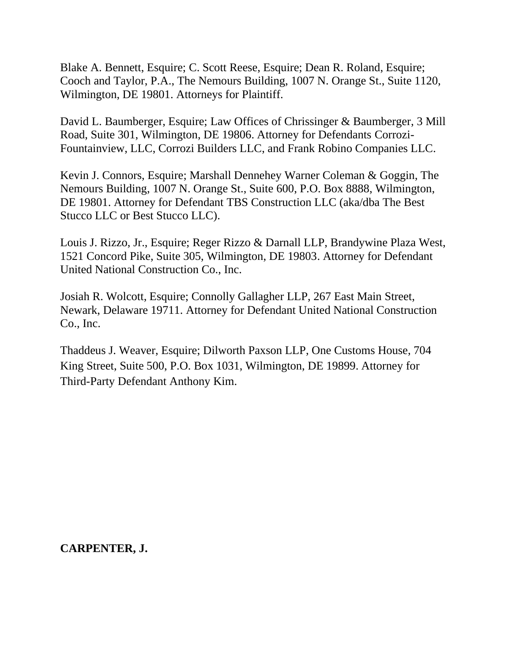Blake A. Bennett, Esquire; C. Scott Reese, Esquire; Dean R. Roland, Esquire; Cooch and Taylor, P.A., The Nemours Building, 1007 N. Orange St., Suite 1120, Wilmington, DE 19801. Attorneys for Plaintiff.

David L. Baumberger, Esquire; Law Offices of Chrissinger & Baumberger, 3 Mill Road, Suite 301, Wilmington, DE 19806. Attorney for Defendants Corrozi-Fountainview, LLC, Corrozi Builders LLC, and Frank Robino Companies LLC.

Kevin J. Connors, Esquire; Marshall Dennehey Warner Coleman & Goggin, The Nemours Building, 1007 N. Orange St., Suite 600, P.O. Box 8888, Wilmington, DE 19801. Attorney for Defendant TBS Construction LLC (aka/dba The Best Stucco LLC or Best Stucco LLC).

Louis J. Rizzo, Jr., Esquire; Reger Rizzo & Darnall LLP, Brandywine Plaza West, 1521 Concord Pike, Suite 305, Wilmington, DE 19803. Attorney for Defendant United National Construction Co., Inc.

Josiah R. Wolcott, Esquire; Connolly Gallagher LLP, 267 East Main Street, Newark, Delaware 19711. Attorney for Defendant United National Construction Co., Inc.

Thaddeus J. Weaver, Esquire; Dilworth Paxson LLP, One Customs House, 704 King Street, Suite 500, P.O. Box 1031, Wilmington, DE 19899. Attorney for Third-Party Defendant Anthony Kim.

**CARPENTER, J.**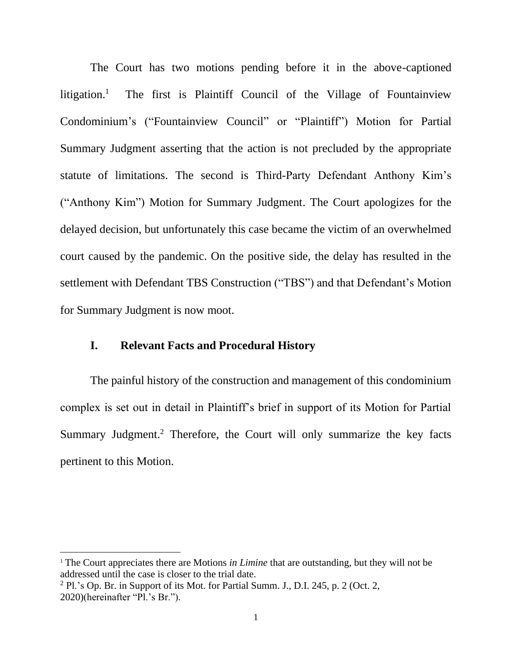The Court has two motions pending before it in the above-captioned litigation. $<sup>1</sup>$ </sup> The first is Plaintiff Council of the Village of Fountainview Condominium's ("Fountainview Council" or "Plaintiff") Motion for Partial Summary Judgment asserting that the action is not precluded by the appropriate statute of limitations. The second is Third-Party Defendant Anthony Kim's ("Anthony Kim") Motion for Summary Judgment. The Court apologizes for the delayed decision, but unfortunately this case became the victim of an overwhelmed court caused by the pandemic. On the positive side, the delay has resulted in the settlement with Defendant TBS Construction ("TBS") and that Defendant's Motion for Summary Judgment is now moot.

#### **I. Relevant Facts and Procedural History**

The painful history of the construction and management of this condominium complex is set out in detail in Plaintiff's brief in support of its Motion for Partial Summary Judgment.<sup>2</sup> Therefore, the Court will only summarize the key facts pertinent to this Motion.

<sup>&</sup>lt;sup>1</sup> The Court appreciates there are Motions *in Limine* that are outstanding, but they will not be addressed until the case is closer to the trial date.

 $2$  Pl.'s Op. Br. in Support of its Mot. for Partial Summ. J., D.I. 245, p. 2 (Oct. 2, 2020)(hereinafter "Pl.'s Br.").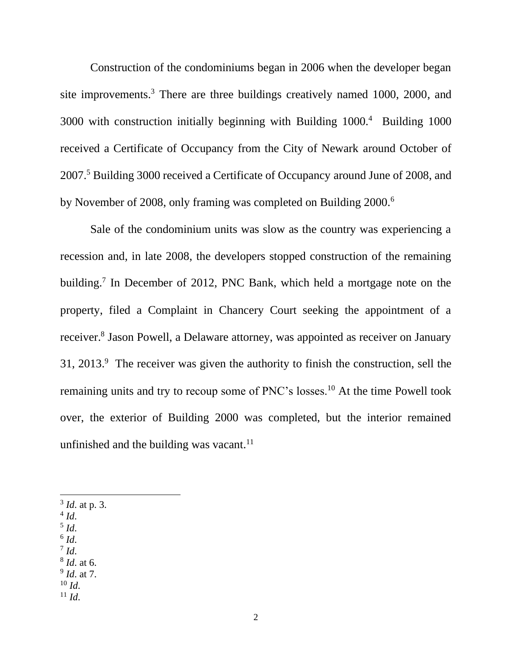Construction of the condominiums began in 2006 when the developer began site improvements.<sup>3</sup> There are three buildings creatively named 1000, 2000, and 3000 with construction initially beginning with Building 1000.<sup>4</sup> Building 1000 received a Certificate of Occupancy from the City of Newark around October of 2007.<sup>5</sup> Building 3000 received a Certificate of Occupancy around June of 2008, and by November of 2008, only framing was completed on Building 2000.<sup>6</sup>

Sale of the condominium units was slow as the country was experiencing a recession and, in late 2008, the developers stopped construction of the remaining building.<sup>7</sup> In December of 2012, PNC Bank, which held a mortgage note on the property, filed a Complaint in Chancery Court seeking the appointment of a receiver.<sup>8</sup> Jason Powell, a Delaware attorney, was appointed as receiver on January  $31, 2013$ .<sup>9</sup> The receiver was given the authority to finish the construction, sell the remaining units and try to recoup some of PNC's losses.<sup>10</sup> At the time Powell took over, the exterior of Building 2000 was completed, but the interior remained unfinished and the building was vacant. $11$ 

- 3 *Id*. at p. 3.
- 4 *Id*.
- 5 *Id*.
- 6 *Id*. 7 *Id*.
- 8 *Id*. at 6.
- 9 *Id*. at 7.
- $10 \, Id.$
- $11$  *Id.*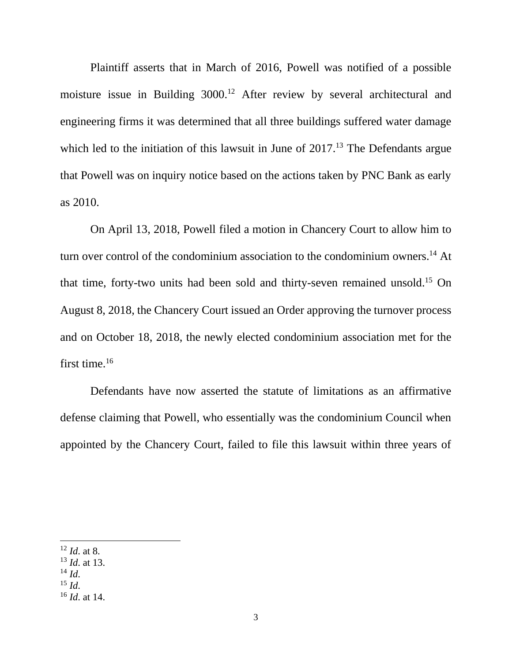Plaintiff asserts that in March of 2016, Powell was notified of a possible moisture issue in Building 3000.<sup>12</sup> After review by several architectural and engineering firms it was determined that all three buildings suffered water damage which led to the initiation of this lawsuit in June of  $2017<sup>13</sup>$  The Defendants argue that Powell was on inquiry notice based on the actions taken by PNC Bank as early as 2010.

On April 13, 2018, Powell filed a motion in Chancery Court to allow him to turn over control of the condominium association to the condominium owners.<sup>14</sup> At that time, forty-two units had been sold and thirty-seven remained unsold.<sup>15</sup> On August 8, 2018, the Chancery Court issued an Order approving the turnover process and on October 18, 2018, the newly elected condominium association met for the first time.<sup>16</sup>

Defendants have now asserted the statute of limitations as an affirmative defense claiming that Powell, who essentially was the condominium Council when appointed by the Chancery Court, failed to file this lawsuit within three years of

 $^{15}$  *Id.* 

<sup>12</sup> *Id*. at 8.

<sup>13</sup> *Id*. at 13.

 $^{14}$  *Id.* 

<sup>16</sup> *Id*. at 14.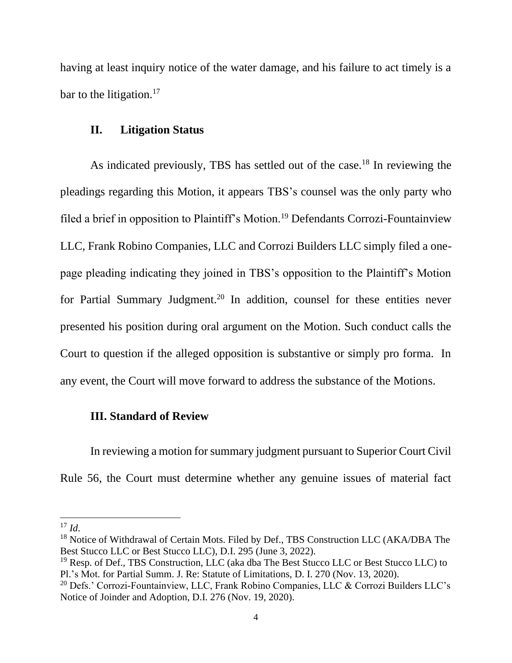having at least inquiry notice of the water damage, and his failure to act timely is a bar to the litigation. $17$ 

#### **II. Litigation Status**

As indicated previously, TBS has settled out of the case.<sup>18</sup> In reviewing the pleadings regarding this Motion, it appears TBS's counsel was the only party who filed a brief in opposition to Plaintiff's Motion.<sup>19</sup> Defendants Corrozi-Fountainview LLC, Frank Robino Companies, LLC and Corrozi Builders LLC simply filed a onepage pleading indicating they joined in TBS's opposition to the Plaintiff's Motion for Partial Summary Judgment.<sup>20</sup> In addition, counsel for these entities never presented his position during oral argument on the Motion. Such conduct calls the Court to question if the alleged opposition is substantive or simply pro forma. In any event, the Court will move forward to address the substance of the Motions.

#### **III. Standard of Review**

In reviewing a motion for summary judgment pursuant to Superior Court Civil Rule 56, the Court must determine whether any genuine issues of material fact

 $17 \, Id.$ 

<sup>&</sup>lt;sup>18</sup> Notice of Withdrawal of Certain Mots. Filed by Def., TBS Construction LLC (AKA/DBA The Best Stucco LLC or Best Stucco LLC), D.I. 295 (June 3, 2022).

 $19$  Resp. of Def., TBS Construction, LLC (aka dba The Best Stucco LLC or Best Stucco LLC) to Pl.'s Mot. for Partial Summ. J. Re: Statute of Limitations, D. I. 270 (Nov. 13, 2020).

<sup>&</sup>lt;sup>20</sup> Defs.' Corrozi-Fountainview, LLC, Frank Robino Companies, LLC & Corrozi Builders LLC's Notice of Joinder and Adoption, D.I. 276 (Nov. 19, 2020).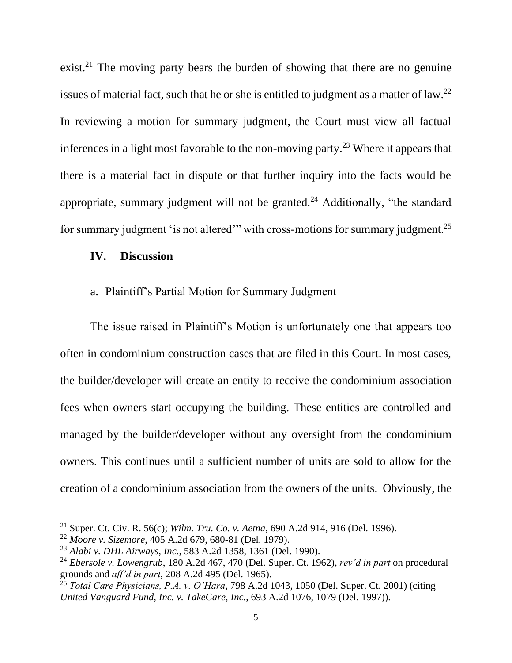exist.<sup>21</sup> The moving party bears the burden of showing that there are no genuine issues of material fact, such that he or she is entitled to judgment as a matter of law.<sup>22</sup> In reviewing a motion for summary judgment, the Court must view all factual inferences in a light most favorable to the non-moving party.<sup>23</sup> Where it appears that there is a material fact in dispute or that further inquiry into the facts would be appropriate, summary judgment will not be granted.<sup>24</sup> Additionally, "the standard for summary judgment 'is not altered'" with cross-motions for summary judgment.<sup>25</sup>

#### **IV. Discussion**

#### a. Plaintiff's Partial Motion for Summary Judgment

The issue raised in Plaintiff's Motion is unfortunately one that appears too often in condominium construction cases that are filed in this Court. In most cases, the builder/developer will create an entity to receive the condominium association fees when owners start occupying the building. These entities are controlled and managed by the builder/developer without any oversight from the condominium owners. This continues until a sufficient number of units are sold to allow for the creation of a condominium association from the owners of the units. Obviously, the

<sup>21</sup> Super. Ct. Civ. R. 56(c); *Wilm. Tru. Co. v. Aetna*, 690 A.2d 914, 916 (Del. 1996).

<sup>22</sup> *Moore v. Sizemore*, 405 A.2d 679, 680-81 (Del. 1979).

<sup>23</sup> *Alabi v. DHL Airways, Inc.*, 583 A.2d 1358, 1361 (Del. 1990).

<sup>24</sup> *Ebersole v. Lowengrub*, 180 A.2d 467, 470 (Del. Super. Ct. 1962), *rev'd in part* on procedural grounds and *aff'd in part*, 208 A.2d 495 (Del. 1965).

<sup>25</sup> *Total Care Physicians, P.A. v. O'Hara*, 798 A.2d 1043, 1050 (Del. Super. Ct. 2001) (citing *United Vanguard Fund, Inc. v. TakeCare, Inc.*, 693 A.2d 1076, 1079 (Del. 1997)).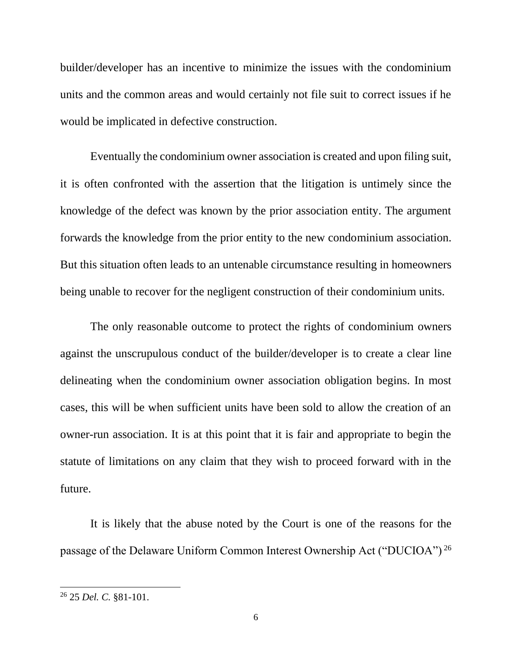builder/developer has an incentive to minimize the issues with the condominium units and the common areas and would certainly not file suit to correct issues if he would be implicated in defective construction.

Eventually the condominium owner association is created and upon filing suit, it is often confronted with the assertion that the litigation is untimely since the knowledge of the defect was known by the prior association entity. The argument forwards the knowledge from the prior entity to the new condominium association. But this situation often leads to an untenable circumstance resulting in homeowners being unable to recover for the negligent construction of their condominium units.

The only reasonable outcome to protect the rights of condominium owners against the unscrupulous conduct of the builder/developer is to create a clear line delineating when the condominium owner association obligation begins. In most cases, this will be when sufficient units have been sold to allow the creation of an owner-run association. It is at this point that it is fair and appropriate to begin the statute of limitations on any claim that they wish to proceed forward with in the future.

It is likely that the abuse noted by the Court is one of the reasons for the passage of the Delaware Uniform Common Interest Ownership Act ("DUCIOA") <sup>26</sup>

<sup>26</sup> 25 *Del. C.* §81-101.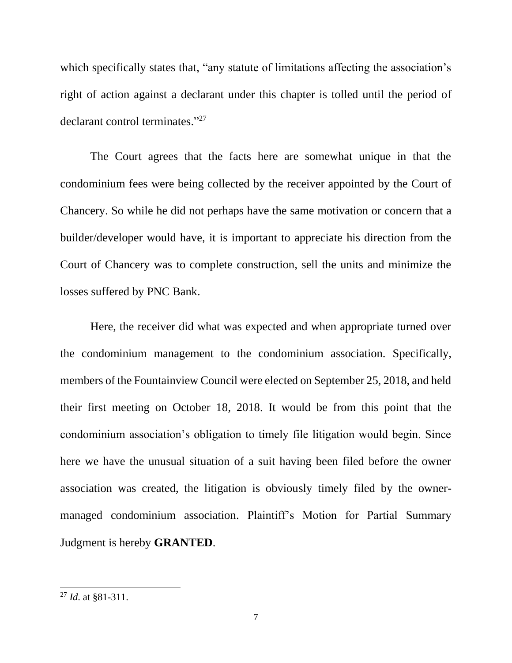which specifically states that, "any statute of limitations affecting the association's right of action against a declarant under this chapter is tolled until the period of declarant control terminates."<sup>27</sup>

The Court agrees that the facts here are somewhat unique in that the condominium fees were being collected by the receiver appointed by the Court of Chancery. So while he did not perhaps have the same motivation or concern that a builder/developer would have, it is important to appreciate his direction from the Court of Chancery was to complete construction, sell the units and minimize the losses suffered by PNC Bank.

Here, the receiver did what was expected and when appropriate turned over the condominium management to the condominium association. Specifically, members of the Fountainview Council were elected on September 25, 2018, and held their first meeting on October 18, 2018. It would be from this point that the condominium association's obligation to timely file litigation would begin. Since here we have the unusual situation of a suit having been filed before the owner association was created, the litigation is obviously timely filed by the ownermanaged condominium association. Plaintiff's Motion for Partial Summary Judgment is hereby **GRANTED**.

<sup>27</sup> *Id*. at §81-311.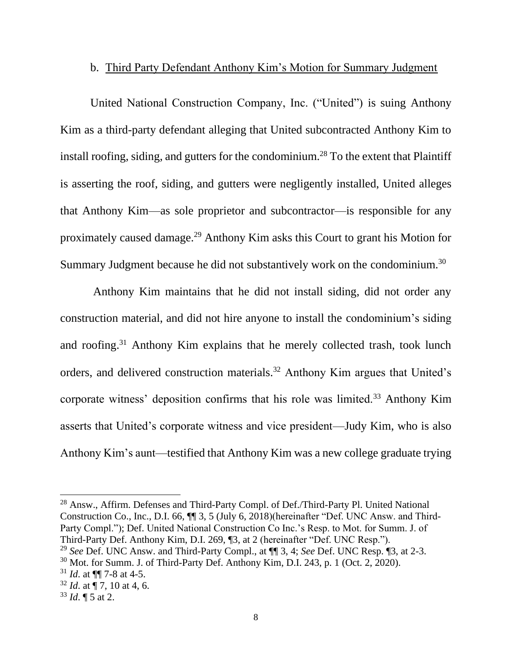### b. Third Party Defendant Anthony Kim's Motion for Summary Judgment

United National Construction Company, Inc. ("United") is suing Anthony Kim as a third-party defendant alleging that United subcontracted Anthony Kim to install roofing, siding, and gutters for the condominium.<sup>28</sup> To the extent that Plaintiff is asserting the roof, siding, and gutters were negligently installed, United alleges that Anthony Kim—as sole proprietor and subcontractor—is responsible for any proximately caused damage.<sup>29</sup> Anthony Kim asks this Court to grant his Motion for Summary Judgment because he did not substantively work on the condominium.<sup>30</sup>

Anthony Kim maintains that he did not install siding, did not order any construction material, and did not hire anyone to install the condominium's siding and roofing.<sup>31</sup> Anthony Kim explains that he merely collected trash, took lunch orders, and delivered construction materials.<sup>32</sup> Anthony Kim argues that United's corporate witness' deposition confirms that his role was limited.<sup>33</sup> Anthony Kim asserts that United's corporate witness and vice president—Judy Kim, who is also Anthony Kim's aunt—testified that Anthony Kim was a new college graduate trying

<sup>28</sup> Answ., Affirm. Defenses and Third-Party Compl. of Def./Third-Party Pl. United National Construction Co., Inc., D.I. 66, ¶¶ 3, 5 (July 6, 2018)(hereinafter "Def. UNC Answ. and Third-Party Compl."); Def. United National Construction Co Inc.'s Resp. to Mot. for Summ. J. of Third-Party Def. Anthony Kim, D.I. 269, ¶3, at 2 (hereinafter "Def. UNC Resp.").

<sup>29</sup> *See* Def. UNC Answ. and Third-Party Compl., at ¶¶ 3, 4; *See* Def. UNC Resp. ¶3, at 2-3.

<sup>30</sup> Mot. for Summ. J. of Third-Party Def. Anthony Kim, D.I. 243, p. 1 (Oct. 2, 2020).

 $31$  *Id.* at  $\P\P$  7-8 at 4-5.

<sup>32</sup> *Id*. at ¶ 7, 10 at 4, 6.

 $33$  *Id.*  $\sqrt{ }$  5 at 2.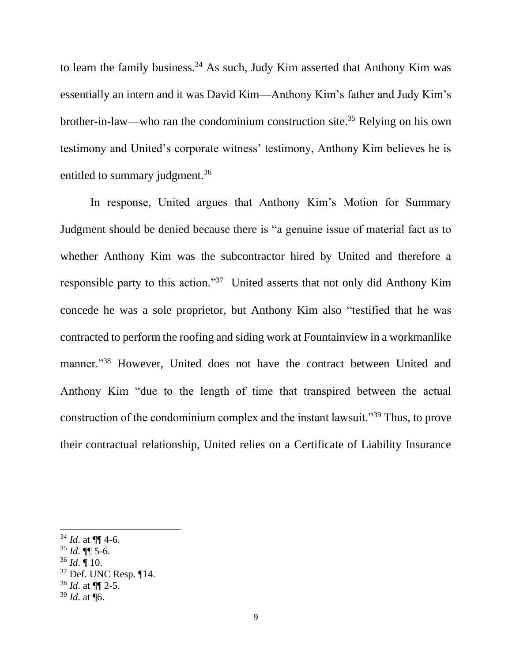to learn the family business.<sup>34</sup> As such, Judy Kim asserted that Anthony Kim was essentially an intern and it was David Kim—Anthony Kim's father and Judy Kim's brother-in-law—who ran the condominium construction site.<sup>35</sup> Relying on his own testimony and United's corporate witness' testimony, Anthony Kim believes he is entitled to summary judgment.<sup>36</sup>

In response, United argues that Anthony Kim's Motion for Summary Judgment should be denied because there is "a genuine issue of material fact as to whether Anthony Kim was the subcontractor hired by United and therefore a responsible party to this action."<sup>37</sup> United asserts that not only did Anthony Kim concede he was a sole proprietor, but Anthony Kim also "testified that he was contracted to perform the roofing and siding work at Fountainview in a workmanlike manner."<sup>38</sup> However, United does not have the contract between United and Anthony Kim "due to the length of time that transpired between the actual construction of the condominium complex and the instant lawsuit."<sup>39</sup> Thus, to prove their contractual relationship, United relies on a Certificate of Liability Insurance

 $36$  *Id.*  $\frac{1}{10}$ .

 $34$  *Id.* at  $\P\P$  4-6.

 $35$  *Id*. **[1]** 5-6.

 $37$  Def. UNC Resp.  $\P$ 14.

<sup>38</sup> *Id*. at ¶¶ 2-5.

<sup>39</sup> *Id*. at ¶6.